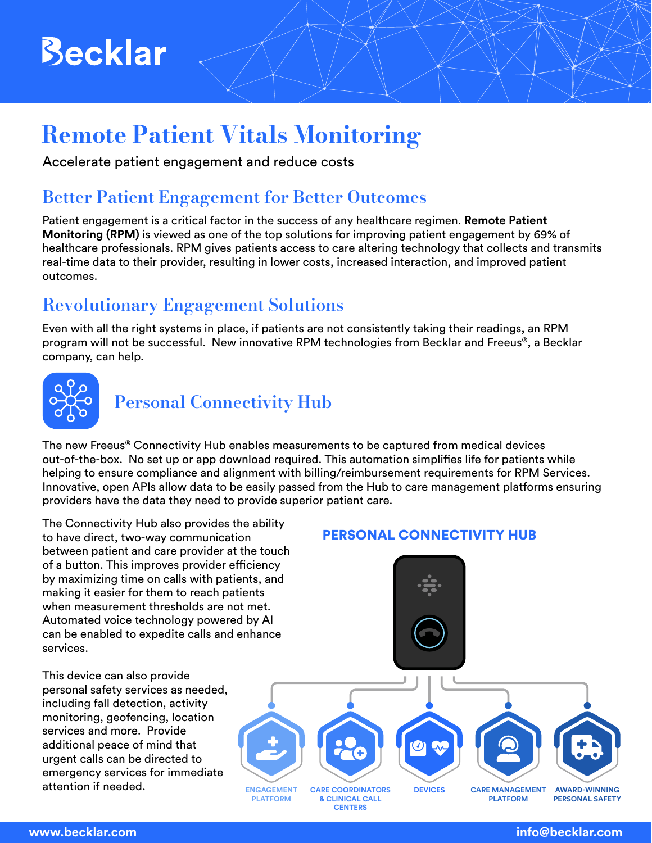# **Becklar**

### Remote Patient Vitals Monitoring

Accelerate patient engagement and reduce costs

#### Better Patient Engagement for Better Outcomes

Patient engagement is a critical factor in the success of any healthcare regimen. **Remote Patient Monitoring (RPM)** is viewed as one of the top solutions for improving patient engagement by 69% of healthcare professionals. RPM gives patients access to care altering technology that collects and transmits real-time data to their provider, resulting in lower costs, increased interaction, and improved patient outcomes.

### Revolutionary Engagement Solutions

Even with all the right systems in place, if patients are not consistently taking their readings, an RPM program will not be successful. New innovative RPM technologies from Becklar and Freeus®, a Becklar company, can help.



#### Personal Connectivity Hub

The new Freeus® Connectivity Hub enables measurements to be captured from medical devices out-of-the-box. No set up or app download required. This automation simplifies life for patients while helping to ensure compliance and alignment with billing/reimbursement requirements for RPM Services. Innovative, open APIs allow data to be easily passed from the Hub to care management platforms ensuring providers have the data they need to provide superior patient care.

The Connectivity Hub also provides the ability to have direct, two-way communication between patient and care provider at the touch of a button. This improves provider efficiency by maximizing time on calls with patients, and making it easier for them to reach patients when measurement thresholds are not met. Automated voice technology powered by AI can be enabled to expedite calls and enhance services.

This device can also provide personal safety services as needed, including fall detection, activity monitoring, geofencing, location services and more. Provide additional peace of mind that urgent calls can be directed to emergency services for immediate attention if needed.

#### PERSONAL CONNECTIVITY HUB